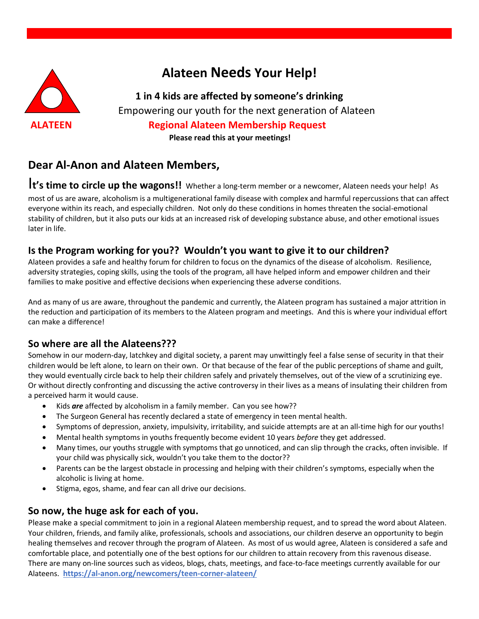

# **Alateen Needs Your Help!**

**1 in 4 kids are affected by someone's drinking** Empowering our youth for the next generation of Alateen **ALATEEN Regional Alateen Membership Request Please read this at your meetings!**

## **Dear Al-Anon and Alateen Members,**

I**t's time to circle up the wagons!!** Whether a long-term member or a newcomer, Alateen needs your help! As

most of us are aware, alcoholism is a multigenerational family disease with complex and harmful repercussions that can affect everyone within its reach, and especially children. Not only do these conditions in homes threaten the social-emotional stability of children, but it also puts our kids at an increased risk of developing substance abuse, and other emotional issues later in life.

#### **Is the Program working for you?? Wouldn't you want to give it to our children?**

Alateen provides a safe and healthy forum for children to focus on the dynamics of the disease of alcoholism. Resilience, adversity strategies, coping skills, using the tools of the program, all have helped inform and empower children and their families to make positive and effective decisions when experiencing these adverse conditions.

And as many of us are aware, throughout the pandemic and currently, the Alateen program has sustained a major attrition in the reduction and participation of its members to the Alateen program and meetings. And this is where your individual effort can make a difference!

#### **So where are all the Alateens???**

Somehow in our modern-day, latchkey and digital society, a parent may unwittingly feel a false sense of security in that their children would be left alone, to learn on their own. Or that because of the fear of the public perceptions of shame and guilt, they would eventually circle back to help their children safely and privately themselves, out of the view of a scrutinizing eye. Or without directly confronting and discussing the active controversy in their lives as a means of insulating their children from a perceived harm it would cause.

- Kids *are* affected by alcoholism in a family member. Can you see how??
- The Surgeon General has recently declared a state of emergency in teen mental health.
- Symptoms of depression, anxiety, impulsivity, irritability, and suicide attempts are at an all-time high for our youths!
- Mental health symptoms in youths frequently become evident 10 years *before* they get addressed.
- Many times, our youths struggle with symptoms that go unnoticed, and can slip through the cracks, often invisible. If your child was physically sick, wouldn't you take them to the doctor??
- Parents can be the largest obstacle in processing and helping with their children's symptoms, especially when the alcoholic is living at home.
- Stigma, egos, shame, and fear can all drive our decisions.

#### **So now, the huge ask for each of you.**

Please make a special commitment to join in a regional Alateen membership request, and to spread the word about Alateen. Your children, friends, and family alike, professionals, schools and associations, our children deserve an opportunity to begin healing themselves and recover through the program of Alateen. As most of us would agree, Alateen is considered a safe and comfortable place, and potentially one of the best options for our children to attain recovery from this ravenous disease. There are many on-line sources such as videos, blogs, chats, meetings, and face-to-face meetings currently available for our Alateens. **<https://al-anon.org/newcomers/teen-corner-alateen/>**